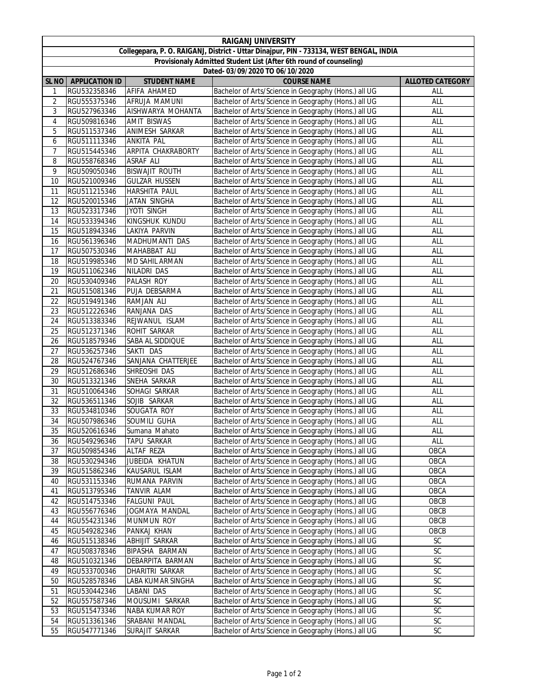| <b>RAIGANJ UNIVERSITY</b>                                                               |                              |                                      |                                                                                                              |                         |  |  |  |  |
|-----------------------------------------------------------------------------------------|------------------------------|--------------------------------------|--------------------------------------------------------------------------------------------------------------|-------------------------|--|--|--|--|
| Collegepara, P. O. RAIGANJ, District - Uttar Dinajpur, PIN - 733134, WEST BENGAL, INDIA |                              |                                      |                                                                                                              |                         |  |  |  |  |
| Provisionaly Admitted Student List (After 6th round of counseling)                      |                              |                                      |                                                                                                              |                         |  |  |  |  |
| Dated- 03/09/2020 TO 06/10/2020                                                         |                              |                                      |                                                                                                              |                         |  |  |  |  |
| <b>SL NO</b>                                                                            | <b>APPLICATION ID</b>        | <b>STUDENT NAME</b>                  | <b>COURSE NAME</b>                                                                                           | <b>ALLOTED CATEGORY</b> |  |  |  |  |
| 1                                                                                       | RGU532358346                 | AFIFA AHAMED                         | Bachelor of Arts/Science in Geography (Hons.) all UG                                                         | ALL                     |  |  |  |  |
| 2                                                                                       | RGU555375346                 | AFRUJA MAMUNI                        | Bachelor of Arts/Science in Geography (Hons.) all UG                                                         | ALL                     |  |  |  |  |
| 3                                                                                       | RGU527963346                 | AISHWARYA MOHANTA                    | Bachelor of Arts/Science in Geography (Hons.) all UG                                                         | ALL                     |  |  |  |  |
| 4                                                                                       | RGU509816346                 | <b>AMIT BISWAS</b>                   | Bachelor of Arts/Science in Geography (Hons.) all UG                                                         | ALL                     |  |  |  |  |
| 5                                                                                       | RGU511537346                 | ANIMESH SARKAR                       | Bachelor of Arts/Science in Geography (Hons.) all UG                                                         | ALL                     |  |  |  |  |
| 6                                                                                       | RGU511113346                 | <b>ANKITA PAL</b>                    | Bachelor of Arts/Science in Geography (Hons.) all UG                                                         | ALL                     |  |  |  |  |
| 7                                                                                       | RGU515445346                 | ARPITA CHAKRABORTY                   | Bachelor of Arts/Science in Geography (Hons.) all UG                                                         | ALL                     |  |  |  |  |
| 8                                                                                       | RGU558768346                 | ASRAF ALI                            | Bachelor of Arts/Science in Geography (Hons.) all UG                                                         | ALL                     |  |  |  |  |
| 9                                                                                       | RGU509050346                 | <b>BISWAJIT ROUTH</b>                | Bachelor of Arts/Science in Geography (Hons.) all UG                                                         | ALL                     |  |  |  |  |
| 10                                                                                      | RGU521009346                 | <b>GULZAR HUSSEN</b>                 | Bachelor of Arts/Science in Geography (Hons.) all UG                                                         | ALL                     |  |  |  |  |
| 11                                                                                      | RGU511215346                 | HARSHITA PAUL                        | Bachelor of Arts/Science in Geography (Hons.) all UG                                                         | <b>ALL</b>              |  |  |  |  |
| 12                                                                                      | RGU520015346                 | JATAN SINGHA                         | Bachelor of Arts/Science in Geography (Hons.) all UG                                                         | <b>ALL</b>              |  |  |  |  |
| 13                                                                                      | RGU523317346                 | <b>JYOTI SINGH</b>                   | Bachelor of Arts/Science in Geography (Hons.) all UG                                                         | ALL                     |  |  |  |  |
| 14                                                                                      | RGU533394346                 | KINGSHUK KUNDU                       | Bachelor of Arts/Science in Geography (Hons.) all UG                                                         | ALL                     |  |  |  |  |
| 15                                                                                      | RGU518943346                 | LAKIYA PARVIN                        | Bachelor of Arts/Science in Geography (Hons.) all UG                                                         | ALL                     |  |  |  |  |
| 16                                                                                      | RGU561396346                 | MADHUMANTI DAS                       | Bachelor of Arts/Science in Geography (Hons.) all UG                                                         | ALL                     |  |  |  |  |
| 17                                                                                      | RGU507530346                 | MAHABBAT ALI                         | Bachelor of Arts/Science in Geography (Hons.) all UG                                                         | ALL                     |  |  |  |  |
| 18                                                                                      | RGU519985346                 | MD SAHIL ARMAN                       | Bachelor of Arts/Science in Geography (Hons.) all UG                                                         | ALL                     |  |  |  |  |
| 19                                                                                      | RGU511062346                 | NILADRI DAS                          | Bachelor of Arts/Science in Geography (Hons.) all UG                                                         | ALL                     |  |  |  |  |
| 20                                                                                      | RGU530409346                 | PALASH ROY                           | Bachelor of Arts/Science in Geography (Hons.) all UG                                                         | ALL                     |  |  |  |  |
| 21                                                                                      | RGU515081346                 | PUJA DEBSARMA                        | Bachelor of Arts/Science in Geography (Hons.) all UG                                                         | ALL                     |  |  |  |  |
| 22                                                                                      | RGU519491346                 | RAMJAN ALI                           | Bachelor of Arts/Science in Geography (Hons.) all UG                                                         | ALL                     |  |  |  |  |
| 23                                                                                      | RGU512226346                 | RANJANA DAS                          | Bachelor of Arts/Science in Geography (Hons.) all UG                                                         | ALL                     |  |  |  |  |
| 24                                                                                      | RGU513383346                 | REJWANUL ISLAM                       | Bachelor of Arts/Science in Geography (Hons.) all UG                                                         | ALL                     |  |  |  |  |
| 25                                                                                      | RGU512371346                 | ROHIT SARKAR                         | Bachelor of Arts/Science in Geography (Hons.) all UG                                                         | ALL                     |  |  |  |  |
| 26                                                                                      | RGU518579346                 | SABA AL SIDDIQUE                     | Bachelor of Arts/Science in Geography (Hons.) all UG                                                         | ALL                     |  |  |  |  |
| 27                                                                                      | RGU536257346                 | SAKTI DAS                            | Bachelor of Arts/Science in Geography (Hons.) all UG                                                         | ALL                     |  |  |  |  |
| 28                                                                                      | RGU524767346                 | SANJANA CHATTERJEE                   | Bachelor of Arts/Science in Geography (Hons.) all UG                                                         | ALL                     |  |  |  |  |
| 29                                                                                      | RGU512686346                 | SHREOSHI DAS                         | Bachelor of Arts/Science in Geography (Hons.) all UG                                                         | ALL                     |  |  |  |  |
| 30                                                                                      | RGU513321346                 | SNEHA SARKAR                         | Bachelor of Arts/Science in Geography (Hons.) all UG                                                         | ALL                     |  |  |  |  |
| 31                                                                                      | RGU510064346                 | SOHAGI SARKAR                        | Bachelor of Arts/Science in Geography (Hons.) all UG                                                         | <b>ALL</b>              |  |  |  |  |
| 32                                                                                      | RGU536511346                 | SOJIB SARKAR                         | Bachelor of Arts/Science in Geography (Hons.) all UG                                                         | ALL                     |  |  |  |  |
| 33                                                                                      | RGU534810346                 | SOUGATA ROY                          | Bachelor of Arts/Science in Geography (Hons.) all UG                                                         | ALL                     |  |  |  |  |
| 34                                                                                      | RGU507986346                 | SOUMILI GUHA                         | Bachelor of Arts/Science in Geography (Hons.) all UG                                                         | ALL                     |  |  |  |  |
| 35                                                                                      | RGU520616346                 | Sumana Mahato                        | Bachelor of Arts/Science in Geography (Hons.) all UG                                                         | ALL                     |  |  |  |  |
| 36                                                                                      | RGU549296346                 | TAPU SARKAR                          | Bachelor of Arts/Science in Geography (Hons.) all UG                                                         | ALL                     |  |  |  |  |
| 37                                                                                      | RGU509854346                 | ALTAF REZA                           | Bachelor of Arts/Science in Geography (Hons.) all UG                                                         | OBCA                    |  |  |  |  |
| 38                                                                                      | RGU530294346                 | JUBEIDA KHATUN                       | Bachelor of Arts/Science in Geography (Hons.) all UG                                                         | OBCA                    |  |  |  |  |
| 39                                                                                      | RGU515862346                 | KAUSARUL ISLAM                       | Bachelor of Arts/Science in Geography (Hons.) all UG                                                         | OBCA                    |  |  |  |  |
| 40                                                                                      | RGU531153346                 | RUMANA PARVIN                        | Bachelor of Arts/Science in Geography (Hons.) all UG                                                         | OBCA                    |  |  |  |  |
| 41                                                                                      | RGU513795346                 | TANVIR ALAM                          | Bachelor of Arts/Science in Geography (Hons.) all UG                                                         | OBCA                    |  |  |  |  |
| 42                                                                                      | RGU514753346                 | <b>FALGUNI PAUL</b>                  | Bachelor of Arts/Science in Geography (Hons.) all UG                                                         | OBCB<br>OBCB            |  |  |  |  |
| 43                                                                                      | RGU556776346                 | JOGMAYA MANDAL                       | Bachelor of Arts/Science in Geography (Hons.) all UG<br>Bachelor of Arts/Science in Geography (Hons.) all UG |                         |  |  |  |  |
| 44                                                                                      | RGU554231346<br>RGU549282346 | MUNMUN ROY                           | Bachelor of Arts/Science in Geography (Hons.) all UG                                                         | OBCB<br>OBCB            |  |  |  |  |
| 45<br>46                                                                                | RGU515138346                 | PANKAJ KHAN<br><b>ABHIJIT SARKAR</b> | Bachelor of Arts/Science in Geography (Hons.) all UG                                                         | SC                      |  |  |  |  |
| 47                                                                                      | RGU508378346                 | BIPASHA BARMAN                       | Bachelor of Arts/Science in Geography (Hons.) all UG                                                         | SC                      |  |  |  |  |
| 48                                                                                      | RGU510321346                 | DEBARPITA BARMAN                     | Bachelor of Arts/Science in Geography (Hons.) all UG                                                         | SC                      |  |  |  |  |
| 49                                                                                      | RGU533700346                 | DHARITRI SARKAR                      | Bachelor of Arts/Science in Geography (Hons.) all UG                                                         | $\overline{SC}$         |  |  |  |  |
| 50                                                                                      | RGU528578346                 | LABA KUMAR SINGHA                    | Bachelor of Arts/Science in Geography (Hons.) all UG                                                         | SC                      |  |  |  |  |
| 51                                                                                      | RGU530442346                 | LABANI DAS                           | Bachelor of Arts/Science in Geography (Hons.) all UG                                                         | <b>SC</b>               |  |  |  |  |
| 52                                                                                      | RGU557587346                 | MOUSUMI SARKAR                       | Bachelor of Arts/Science in Geography (Hons.) all UG                                                         | SC                      |  |  |  |  |
| 53                                                                                      | RGU515473346                 | NABA KUMAR ROY                       | Bachelor of Arts/Science in Geography (Hons.) all UG                                                         | SC                      |  |  |  |  |
| 54                                                                                      | RGU513361346                 | SRABANI MANDAL                       | Bachelor of Arts/Science in Geography (Hons.) all UG                                                         | SC                      |  |  |  |  |
| 55                                                                                      | RGU547771346                 | SURAJIT SARKAR                       | Bachelor of Arts/Science in Geography (Hons.) all UG                                                         | SC                      |  |  |  |  |